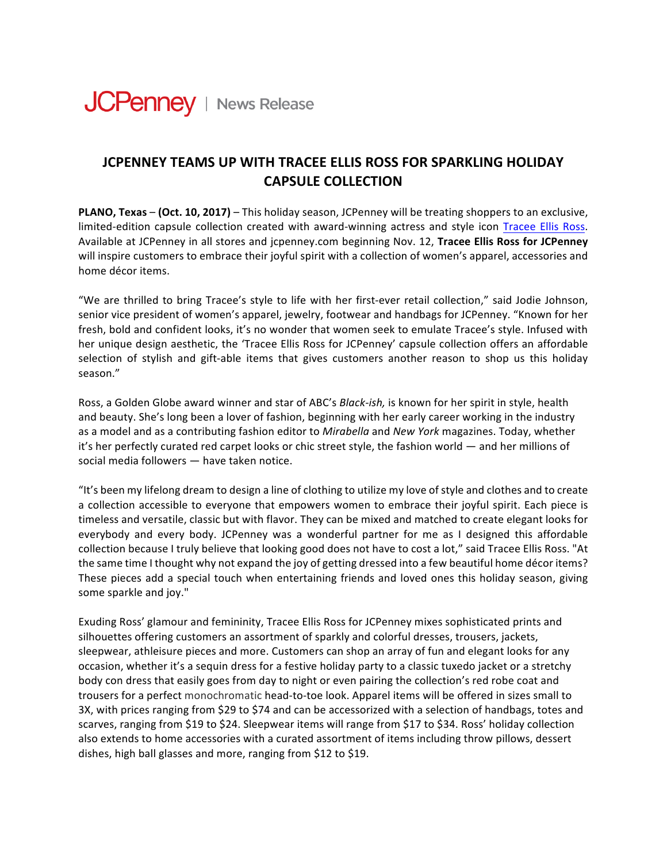

## **JCPENNEY TEAMS UP WITH TRACEE ELLIS ROSS FOR SPARKLING HOLIDAY CAPSULE COLLECTION**

**PLANO, Texas – (Oct. 10, 2017)** – This holiday season, JCPenney will be treating shoppers to an exclusive, limited-edition capsule collection created with award-winning actress and style icon Tracee Ellis Ross. Available at JCPenney in all stores and *jcpenney.com beginning Nov.* 12, **Tracee Ellis Ross for JCPenney** will inspire customers to embrace their joyful spirit with a collection of women's apparel, accessories and home décor items.

"We are thrilled to bring Tracee's style to life with her first-ever retail collection," said Jodie Johnson, senior vice president of women's apparel, jewelry, footwear and handbags for JCPenney. "Known for her fresh, bold and confident looks, it's no wonder that women seek to emulate Tracee's style. Infused with her unique design aesthetic, the 'Tracee Ellis Ross for JCPenney' capsule collection offers an affordable selection of stylish and gift-able items that gives customers another reason to shop us this holiday season."

Ross, a Golden Globe award winner and star of ABC's *Black-ish*, is known for her spirit in style, health and beauty. She's long been a lover of fashion, beginning with her early career working in the industry as a model and as a contributing fashion editor to *Mirabella* and *New York* magazines. Today, whether it's her perfectly curated red carpet looks or chic street style, the fashion world — and her millions of social media followers  $-$  have taken notice.

"It's been my lifelong dream to design a line of clothing to utilize my love of style and clothes and to create a collection accessible to everyone that empowers women to embrace their joyful spirit. Each piece is timeless and versatile, classic but with flavor. They can be mixed and matched to create elegant looks for everybody and every body. JCPenney was a wonderful partner for me as I designed this affordable collection because I truly believe that looking good does not have to cost a lot," said Tracee Ellis Ross. "At the same time I thought why not expand the joy of getting dressed into a few beautiful home décor items? These pieces add a special touch when entertaining friends and loved ones this holiday season, giving some sparkle and joy."

Exuding Ross' glamour and femininity, Tracee Ellis Ross for JCPenney mixes sophisticated prints and silhouettes offering customers an assortment of sparkly and colorful dresses, trousers, jackets, sleepwear, athleisure pieces and more. Customers can shop an array of fun and elegant looks for any occasion, whether it's a sequin dress for a festive holiday party to a classic tuxedo jacket or a stretchy body con dress that easily goes from day to night or even pairing the collection's red robe coat and trousers for a perfect monochromatic head-to-toe look. Apparel items will be offered in sizes small to 3X, with prices ranging from \$29 to \$74 and can be accessorized with a selection of handbags, totes and scarves, ranging from \$19 to \$24. Sleepwear items will range from \$17 to \$34. Ross' holiday collection also extends to home accessories with a curated assortment of items including throw pillows, dessert dishes, high ball glasses and more, ranging from \$12 to \$19.